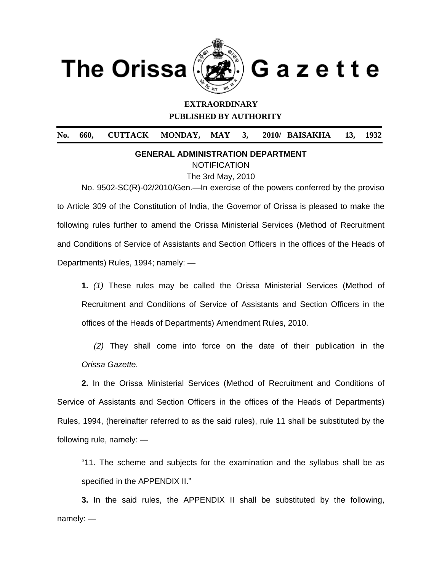

 $\overline{a}$ 



# **EXTRAORDINARY PUBLISHED BY AUTHORITY**

**No. 660, CUTTACK MONDAY, MAY 3, 2010/ BAISAKHA 13, 1932** 

**GENERAL ADMINISTRATION DEPARTMENT** 

**NOTIFICATION** 

The 3rd May, 2010

No. 9502-SC(R)-02/2010/Gen.—In exercise of the powers conferred by the proviso to Article 309 of the Constitution of India, the Governor of Orissa is pleased to make the following rules further to amend the Orissa Ministerial Services (Method of Recruitment and Conditions of Service of Assistants and Section Officers in the offices of the Heads of Departments) Rules, 1994; namely: —

**1.** *(1)* These rules may be called the Orissa Ministerial Services (Method of Recruitment and Conditions of Service of Assistants and Section Officers in the offices of the Heads of Departments) Amendment Rules, 2010.

*(2)* They shall come into force on the date of their publication in the *Orissa Gazette.* 

 **2.** In the Orissa Ministerial Services (Method of Recruitment and Conditions of Service of Assistants and Section Officers in the offices of the Heads of Departments) Rules, 1994, (hereinafter referred to as the said rules), rule 11 shall be substituted by the following rule, namely: —

"11. The scheme and subjects for the examination and the syllabus shall be as specified in the APPENDIX II."

**3.** In the said rules, the APPENDIX II shall be substituted by the following, namely: —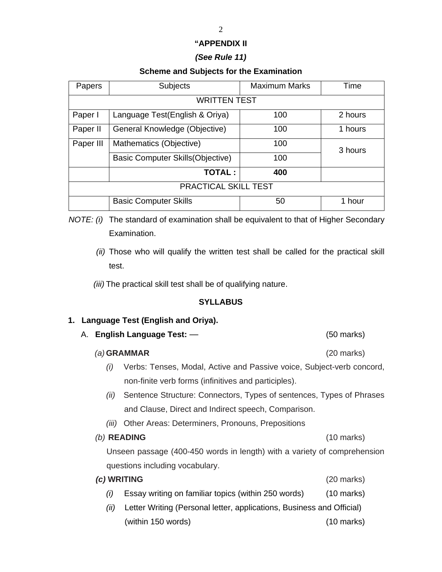### **"APPENDIX II**

## *(See Rule 11)*

## **Scheme and Subjects for the Examination**

| Papers               | <b>Subjects</b>                          | <b>Maximum Marks</b> | Time    |  |  |
|----------------------|------------------------------------------|----------------------|---------|--|--|
| <b>WRITTEN TEST</b>  |                                          |                      |         |  |  |
| Paper I              | Language Test(English & Oriya)           | 100                  | 2 hours |  |  |
| Paper II             | General Knowledge (Objective)            | 100                  | 1 hours |  |  |
| Paper III            | Mathematics (Objective)                  | 100                  | 3 hours |  |  |
|                      | <b>Basic Computer Skills (Objective)</b> | 100                  |         |  |  |
|                      | <b>TOTAL:</b>                            | 400                  |         |  |  |
| PRACTICAL SKILL TEST |                                          |                      |         |  |  |
|                      | <b>Basic Computer Skills</b>             | 50                   | 1 hour  |  |  |

*NOTE: (i)* The standard of examination shall be equivalent to that of Higher Secondary Examination.

*(ii)* Those who will qualify the written test shall be called for the practical skill test.

 *(iii)* The practical skill test shall be of qualifying nature.

## **SYLLABUS**

## **1. Language Test (English and Oriya).**

A. **English Language Test:** —(50 marks)

#### *(a)* **GRAMMAR** (20 marks)

- *(i)* Verbs: Tenses, Modal, Active and Passive voice, Subject-verb concord, non-finite verb forms (infinitives and participles).
- *(ii)* Sentence Structure: Connectors, Types of sentences, Types of Phrases and Clause, Direct and Indirect speech, Comparison.
- *(iii)* Other Areas: Determiners, Pronouns, Prepositions

#### *(b)* **READING** (10 marks)

Unseen passage (400-450 words in length) with a variety of comprehension questions including vocabulary.

# *(c)* **WRITING** (20 marks) *(i)* Essay writing on familiar topics (within 250 words) (10 marks)

*(ii)* Letter Writing (Personal letter, applications, Business and Official) (within 150 words) (10 marks)

#### 2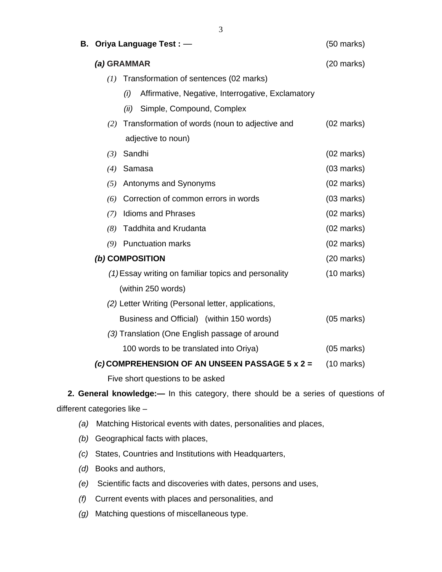| В.                                                    | Oriya Language Test: - |                                                          | $(50$ marks)         |
|-------------------------------------------------------|------------------------|----------------------------------------------------------|----------------------|
|                                                       | (a) GRAMMAR            |                                                          | $(20$ marks)         |
|                                                       | (I)                    | Transformation of sentences (02 marks)                   |                      |
|                                                       |                        | Affirmative, Negative, Interrogative, Exclamatory<br>(i) |                      |
|                                                       |                        | Simple, Compound, Complex<br>(ii)                        |                      |
|                                                       | (2)                    | Transformation of words (noun to adjective and           | $(02 \text{ marks})$ |
|                                                       |                        | adjective to noun)                                       |                      |
|                                                       | (3)                    | Sandhi                                                   | $(02 \text{ marks})$ |
|                                                       | (4)                    | Samasa                                                   | $(03$ marks)         |
|                                                       | (5)                    | Antonyms and Synonyms                                    | $(02 \text{ marks})$ |
|                                                       | (6)                    | Correction of common errors in words                     | $(03$ marks)         |
|                                                       | (7)                    | <b>Idioms and Phrases</b>                                | $(02 \text{ marks})$ |
|                                                       | (8)                    | <b>Taddhita and Krudanta</b>                             | $(02 \text{ marks})$ |
|                                                       | (9)                    | <b>Punctuation marks</b>                                 | $(02 \text{ marks})$ |
|                                                       |                        | (b) COMPOSITION                                          | $(20$ marks)         |
|                                                       |                        | (1) Essay writing on familiar topics and personality     | $(10 \text{ marks})$ |
| (within 250 words)                                    |                        |                                                          |                      |
| (2) Letter Writing (Personal letter, applications,    |                        |                                                          |                      |
|                                                       |                        | Business and Official) (within 150 words)                | $(05$ marks)         |
| (3) Translation (One English passage of around        |                        |                                                          |                      |
|                                                       |                        | 100 words to be translated into Oriya)                   | $(05$ marks)         |
| (c) COMPREHENSION OF AN UNSEEN PASSAGE $5 \times 2 =$ |                        | $(10 \text{ marks})$                                     |                      |
|                                                       |                        | Five short questions to be asked                         |                      |

**2. General knowledge:—** In this category, there should be a series of questions of different categories like –

- *(a)* Matching Historical events with dates, personalities and places,
- *(b)* Geographical facts with places,
- *(c)* States, Countries and Institutions with Headquarters,
- *(d)* Books and authors,
- *(e)* Scientific facts and discoveries with dates, persons and uses,
- *(f)* Current events with places and personalities, and
- *(g)* Matching questions of miscellaneous type.

3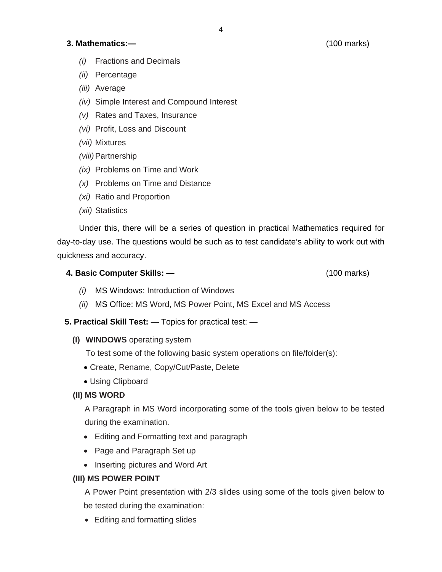# **3. Mathematics:—** (100 marks)

- *(i)* Fractions and Decimals
- *(ii)* Percentage
- *(iii)* Average
- *(iv)* Simple Interest and Compound Interest
- *(v)* Rates and Taxes, Insurance
- *(vi)* Profit, Loss and Discount
- *(vii)* Mixtures
- *(viii)* Partnership
- *(ix)* Problems on Time and Work
- *(x)* Problems on Time and Distance
- *(xi)* Ratio and Proportion
- *(xii)* Statistics

Under this, there will be a series of question in practical Mathematics required for day-to-day use. The questions would be such as to test candidate's ability to work out with quickness and accuracy.

# **4. Basic Computer Skills: —** (100 marks)

- *(i)* MS Windows: Introduction of Windows
- *(ii)* MS Office: MS Word, MS Power Point, MS Excel and MS Access
- **5. Practical Skill Test:** Topics for practical test:
	- **(I) WINDOWS** operating system

To test some of the following basic system operations on file/folder(s):

- Create, Rename, Copy/Cut/Paste, Delete
- Using Clipboard

# **(II) MS WORD**

A Paragraph in MS Word incorporating some of the tools given below to be tested during the examination.

- Editing and Formatting text and paragraph
- Page and Paragraph Set up
- Inserting pictures and Word Art

# **(III) MS POWER POINT**

A Power Point presentation with 2/3 slides using some of the tools given below to be tested during the examination:

• Editing and formatting slides